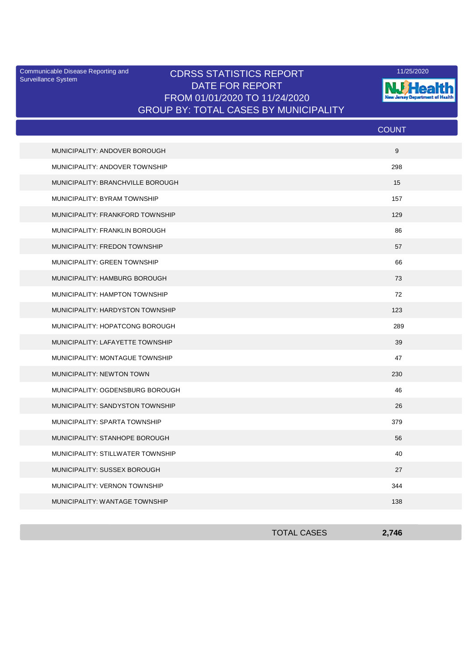Surveillance System

## Communicable Disease Reporting and **CDRSS STATISTICS REPORT** 11/25/2020<br>Curreillance Statem DATE FOR REPORT FROM 01/01/2020 TO 11/24/2020 GROUP BY: TOTAL CASES BY MUNICIPALITY



| <b>COUNT</b> |
|--------------|
| 9            |
| 298          |
| 15           |
| 157          |
| 129          |
| 86           |
| 57           |
| 66           |
| 73           |
| 72           |
| 123          |
| 289          |
| 39           |
| 47           |
| 230          |
| 46           |
| 26           |
| 379          |
| 56           |
| 40           |
| 27           |
| 344          |
| 138          |
|              |

| <b>TOTAL CASES</b> | 2,746 |
|--------------------|-------|
|                    |       |